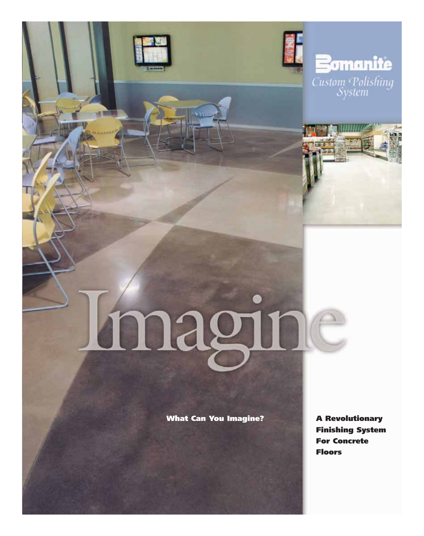







# magine

**What Can You Imagine?**

**A Revolutionary Finishing System For Concrete Floors**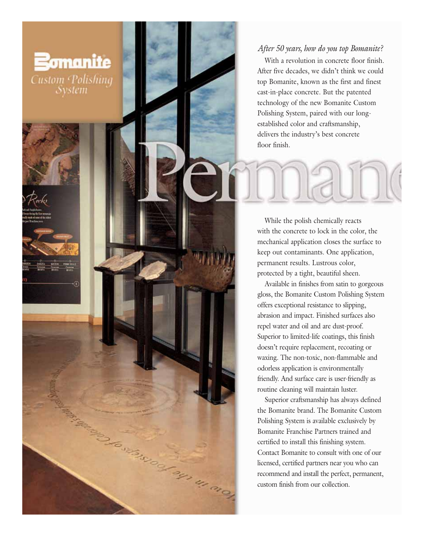## *After 50 years, how do you top Bomanite?*

**Bomanite** 

**Custom** Polishing System

With a revolution in concrete floor finish. After five decades, we didn't think we could top Bomanite, known as the first and finest cast-in-place concrete. But the patented technology of the new Bomanite Custom Polishing System, paired with our longestablished color and craftsmanship, delivers the industry's best concrete floor finish.

While the polish chemically reacts with the concrete to lock in the color, the mechanical application closes the surface to keep out contaminants. One application, permanent results. Lustrous color, protected by a tight, beautiful sheen.

Available in finishes from satin to gorgeous gloss, the Bomanite Custom Polishing System offers exceptional resistance to slipping, abrasion and impact. Finished surfaces also repel water and oil and are dust-proof. Superior to limited-life coatings, this finish doesn't require replacement, recoating or waxing. The non-toxic, non-flammable and odorless application is environmentally friendly. And surface care is user-friendly as routine cleaning will maintain luster.

Superior craftsmanship has always defined the Bomanite brand. The Bomanite Custom Polishing System is available exclusively by Bomanite Franchise Partners trained and certified to install this finishing system. Contact Bomanite to consult with one of our licensed, certified partners near you who can recommend and install the perfect, permanent, custom finish from our collection.

**CONSTRUCTION OF THE ROOM**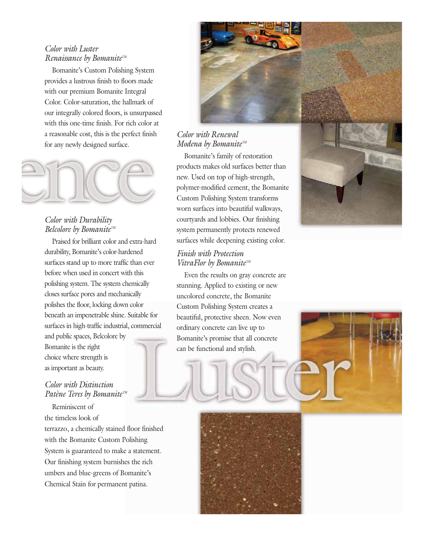### *Color with Luster Renaissance by BomaniteTM*

Bomanite's Custom Polishing System provides a lustrous finish to floors made with our premium Bomanite Integral Color. Color-saturation, the hallmark of our integrally colored floors, is unsurpassed with this one-time finish. For rich color at a reasonable cost, this is the perfect finish for any newly designed surface.



## *Color with Durability Belcolore by Bomanite*™

Praised for brilliant color and extra-hard durability, Bomanite's color-hardened surfaces stand up to more traffic than ever before when used in concert with this polishing system. The system chemically closes surface pores and mechanically polishes the floor, locking down color beneath an impenetrable shine. Suitable for surfaces in high-traffic industrial, commercial and public spaces, Belcolore by Bomanite is the right

choice where strength is as important as beauty.

## *Color with Distinction Patène Teres by Bomanite*™

Reminiscent of the timeless look of terrazzo, a chemically stained floor finished with the Bomanite Custom Polishing System is guaranteed to make a statement. Our finishing system burnishes the rich umbers and blue-greens of Bomanite's Chemical Stain for permanent patina.



# *Color with Renewal Modena by BomaniteTM*

Bomanite's family of restoration products makes old surfaces better than new. Used on top of high-strength, polymer-modified cement, the Bomanite Custom Polishing System transforms worn surfaces into beautiful walkways, courtyards and lobbies. Our finishing system permanently protects renewed surfaces while deepening existing color.

### *Finish with Protection VitraFlor by Bomanite™*

Even the results on gray concrete are stunning. Applied to existing or new uncolored concrete, the Bomanite Custom Polishing System creates a beautiful, protective sheen. Now even ordinary concrete can live up to Bomanite's promise that all concrete can be functional and stylish.